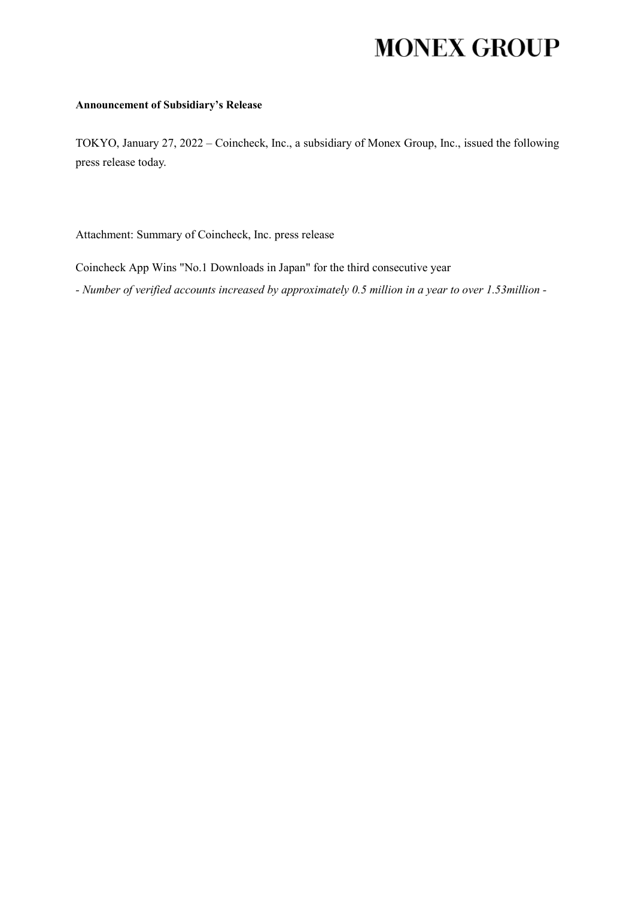## **MONEX GROUP**

## **Announcement of Subsidiary's Release**

TOKYO, January 27, 2022 – Coincheck, Inc., a subsidiary of Monex Group, Inc., issued the following press release today.

Attachment: Summary of Coincheck, Inc. press release

Coincheck App Wins "No.1 Downloads in Japan" for the third consecutive year

*- Number of verified accounts increased by approximately 0.5 million in a year to over 1.53million -*